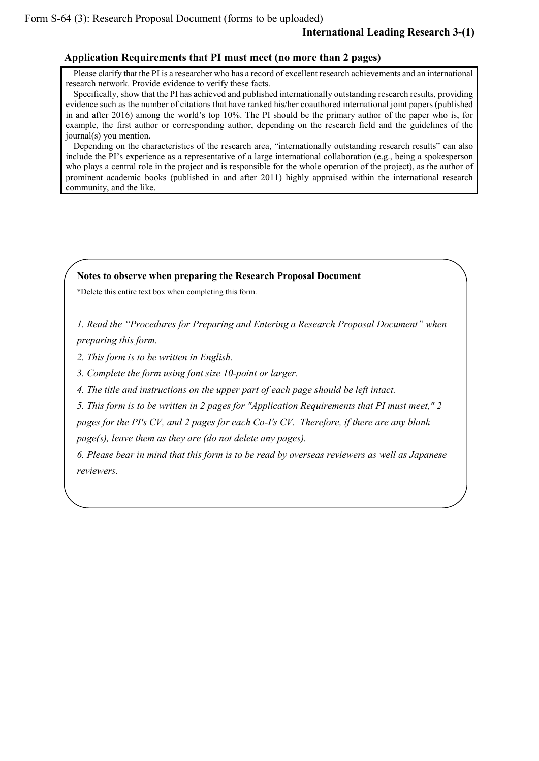## **Application Requirements that PI must meet (no more than 2 pages)**

Please clarify that the PI is a researcher who has a record of excellent research achievements and an international research network. Provide evidence to verify these facts.

Specifically, show that the PI has achieved and published internationally outstanding research results, providing evidence such as the number of citations that have ranked his/her coauthored international joint papers (published in and after 2016) among the world's top 10%. The PI should be the primary author of the paper who is, for example, the first author or corresponding author, depending on the research field and the guidelines of the journal(s) you mention.

Depending on the characteristics of the research area, "internationally outstanding research results" can also include the PI's experience as a representative of a large international collaboration (e.g., being a spokesperson who plays a central role in the project and is responsible for the whole operation of the project), as the author of prominent academic books (published in and after 2011) highly appraised within the international research community, and the like.

## **Notes to observe when preparing the Research Proposal Document**

\*Delete this entire text box when completing this form.

*1. Read the "Procedures for Preparing and Entering a Research Proposal Document" when preparing this form.*

*2. This form is to be written in English.*

*3. Complete the form using font size 10-point or larger.*

*4. The title and instructions on the upper part of each page should be left intact.*

*5. This form is to be written in 2 pages for "Application Requirements that PI must meet," 2 pages for the PI's CV, and 2 pages for each Co-I's CV. Therefore, if there are any blank page(s), leave them as they are (do not delete any pages).*

*6. Please bear in mind that this form is to be read by overseas reviewers as well as Japanese reviewers.*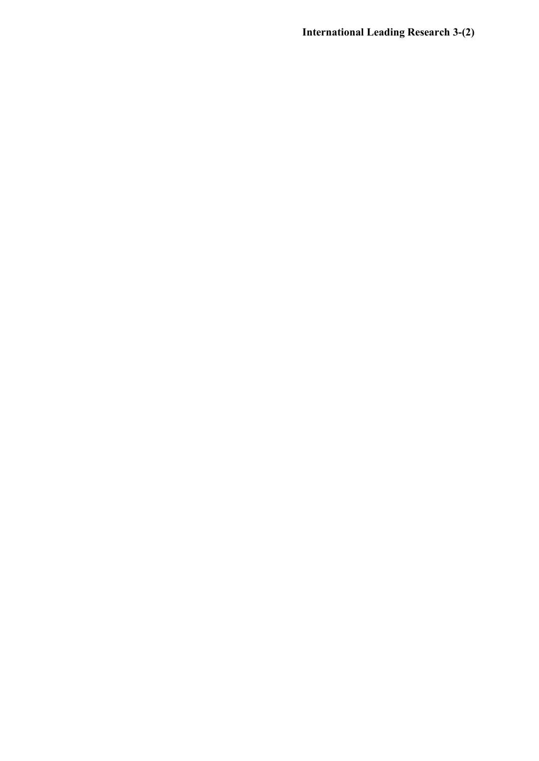**International Leading Research 3-(2)**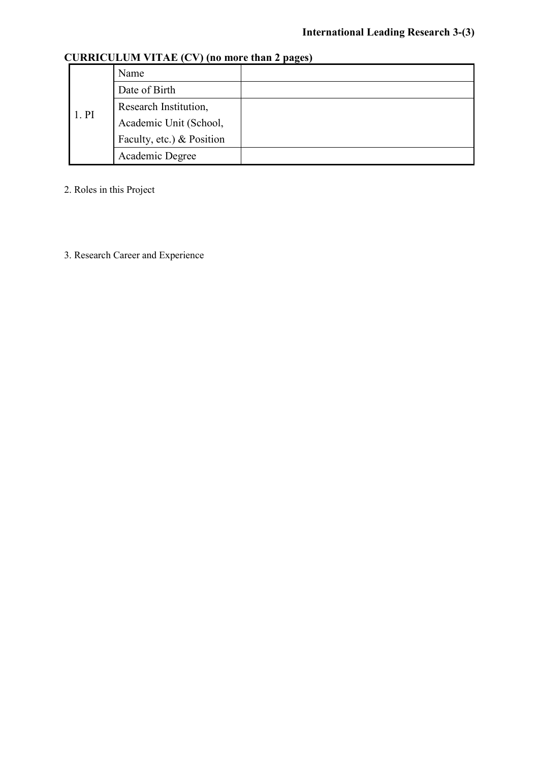| 1.PI | Name                      |  |  |  |
|------|---------------------------|--|--|--|
|      | Date of Birth             |  |  |  |
|      | Research Institution,     |  |  |  |
|      | Academic Unit (School,    |  |  |  |
|      | Faculty, etc.) & Position |  |  |  |
|      | Academic Degree           |  |  |  |

## **CURRICULUM VITAE (CV) (no more than 2 pages)**

2. Roles in this Project

3. Research Career and Experience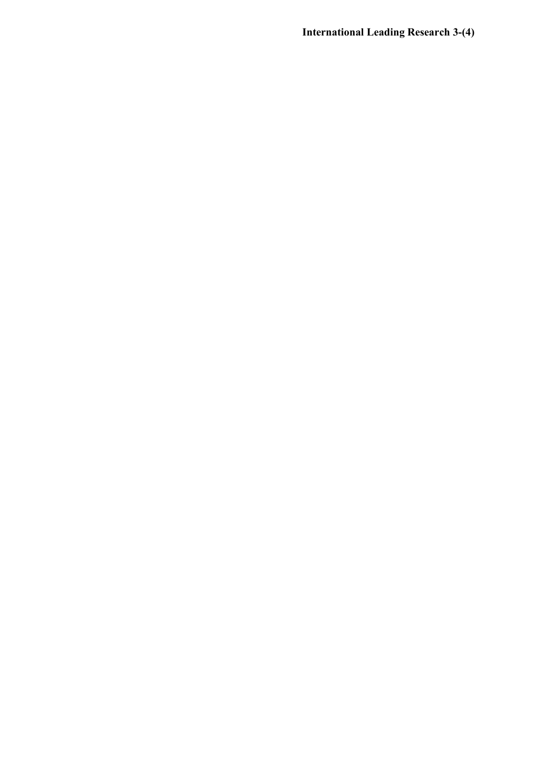**International Leading Research 3-(4)**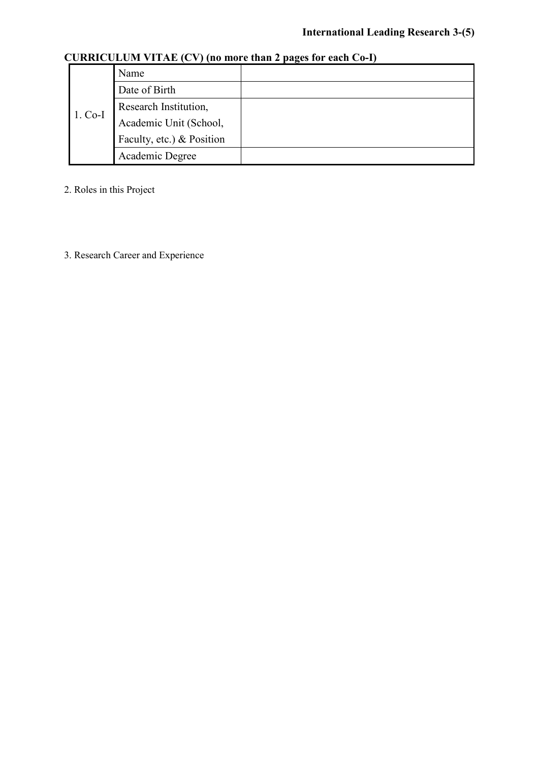|           |                           | $\overline{\phantom{a}}$ |  |
|-----------|---------------------------|--------------------------|--|
| $1. Co-I$ | Name                      |                          |  |
|           | Date of Birth             |                          |  |
|           | Research Institution,     |                          |  |
|           | Academic Unit (School,    |                          |  |
|           | Faculty, etc.) & Position |                          |  |
|           | Academic Degree           |                          |  |

## **CURRICULUM VITAE (CV) (no more than 2 pages for each Co-I)**

2. Roles in this Project

3. Research Career and Experience